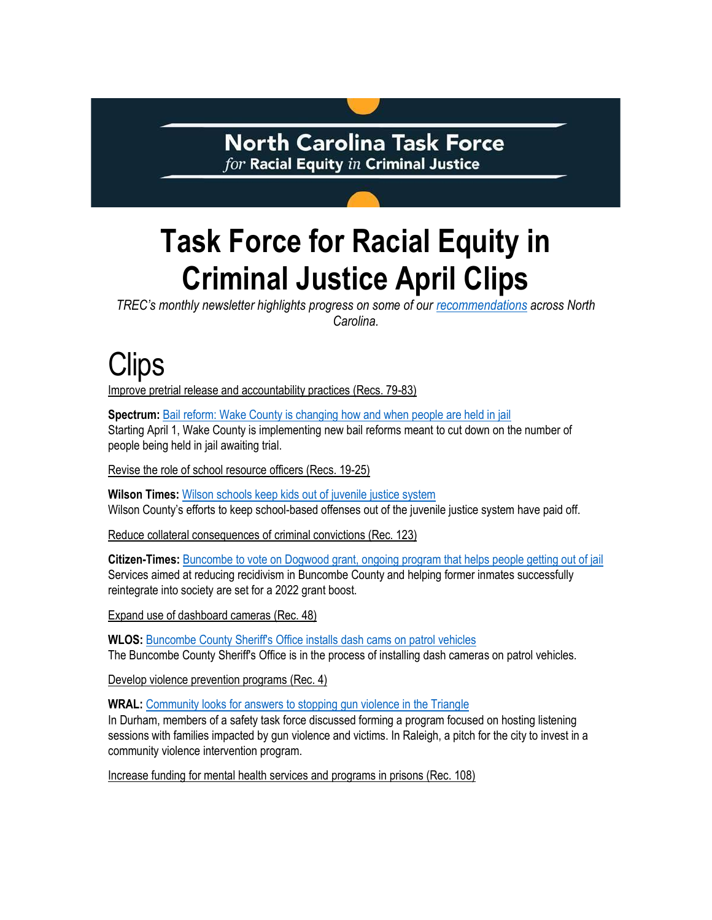### **North Carolina Task Force**  $for$  Racial Equity  $in$  Criminal Justice

# **Task Force for Racial Equity in Criminal Justice April Clips**

*TREC's monthly newsletter highlights progress on some of our [recommendations](https://ncdoj.gov/wp-content/uploads/2021/02/TREC_Recommendations_02262021.pdf) across North Carolina.*

## Clips

Improve pretrial release and accountability practices (Recs. 79-83)

**Spectrum:** [Bail reform: Wake County is changing how and when people are held in jail](https://spectrumlocalnews.com/nc/charlotte/politics/2022/03/24/bail-reform--wake-county-is-changing-how-and-when-people-are-held-in-jail?cid=app_share) Starting April 1, Wake County is implementing new bail reforms meant to cut down on the number of people being held in jail awaiting trial.

Revise the role of school resource officers (Recs. 19-25)

**Wilson Times:** [Wilson schools keep kids out of juvenile justice system](https://restorationnewsmedia.com/wilsontimes/news/wilson-schools-keep-kids-out-of-court-8851612) Wilson County's efforts to keep school-based offenses out of the juvenile justice system have paid off.

Reduce collateral consequences of criminal convictions (Rec. 123)

**Citizen-Times:** [Buncombe to vote on Dogwood grant, ongoing program that helps people getting out of jail](https://www.citizen-times.com/story/news/2022/04/05/dogwood-money-would-help-buncombe-county-ex-inmates-stay-out-jail/7268946001/) Services aimed at reducing recidivism in Buncombe County and helping former inmates successfully reintegrate into society are set for a 2022 grant boost.

Expand use of dashboard cameras (Rec. 48)

**WLOS:** [Buncombe County Sheriff's Office installs dash cams on patrol vehicles](https://wlos.com/news/local/buncombe-county-sheriffs-office-dash-cams-patrol-vehicles-north-carolina-law-enforcement) The Buncombe County Sheriff's Office is in the process of installing dash cameras on patrol vehicles.

Develop violence prevention programs (Rec. 4)

**WRAL:** [Community looks for answers to stopping gun violence in the Triangle](https://www.wral.com/community-looks-for-answers-to-stopping-gun-violence-in-the-triangle/20235206/)  In Durham, members of a safety task force discussed forming a program focused on hosting listening sessions with families impacted by gun violence and victims. In Raleigh, a pitch for the city to invest in a community violence intervention program.

Increase funding for mental health services and programs in prisons (Rec. 108)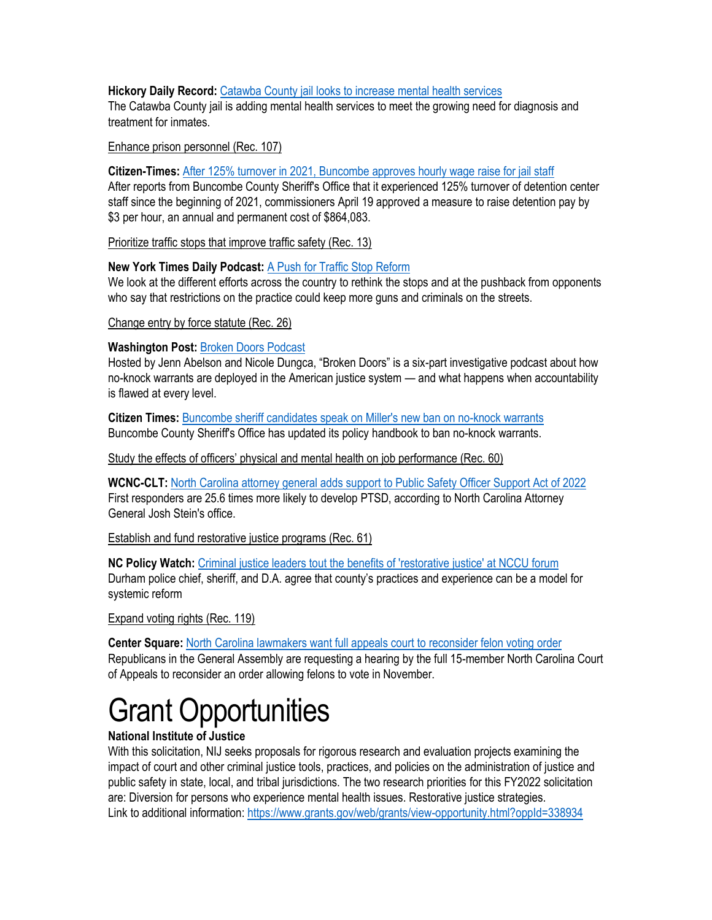#### **Hickory Daily Record:** [Catawba County jail looks to increase mental health services](https://hickoryrecord.com/news/local/catawba-county-jail-looks-to-increase-mental-health-services/article_a2bc17ba-b99f-11ec-a35d-3b47a4562091.html)

The Catawba County jail is adding mental health services to meet the growing need for diagnosis and treatment for inmates.

#### Enhance prison personnel (Rec. 107)

**Citizen-Times:** [After 125% turnover in 2021, Buncombe approves hourly wage raise for jail staff](https://www.citizen-times.com/story/news/2022/04/19/buncombe-county-approves-detention-center-staff-hourly-wage-increase/7372495001/)

After reports from Buncombe County Sheriff's Office that it experienced 125% turnover of detention center staff since the beginning of 2021, commissioners April 19 approved a measure to raise detention pay by \$3 per hour, an annual and permanent cost of \$864,083.

Prioritize traffic stops that improve traffic safety (Rec. 13)

### **New York Times Daily Podcast:** [A Push for Traffic Stop Reform](https://www.nytimes.com/2022/04/25/podcasts/the-daily/police-traffic-stops.html)

We look at the different efforts across the country to rethink the stops and at the pushback from opponents who say that restrictions on the practice could keep more guns and criminals on the streets.

Change entry by force statute (Rec. 26)

### **Washington Post:** [Broken Doors Podcast](https://www.washingtonpost.com/podcasts/interactive/2022/broken-doors/?itid=lk_inline_enhanced-template)

Hosted by Jenn Abelson and Nicole Dungca, "Broken Doors" is a six-part investigative podcast about how no-knock warrants are deployed in the American justice system — and what happens when accountability is flawed at every level.

**Citizen Times:** [Buncombe sheriff candidates speak on Miller's new ban on no-knock warrants](https://www.citizen-times.com/story/news/2022/04/26/buncombe-county-sheriff-bans-no-knock-warrants/7451502001/) Buncombe County Sheriff's Office has updated its policy handbook to ban no-knock warrants.

Study the effects of officers' physical and mental health on job performance (Rec. 60)

**WCNC-CLT:** [North Carolina attorney general adds support to Public Safety Officer Support Act of 2022](https://www.wcnc.com/article/news/health/north-carolina-josh-stein-attorney-general-public-safety-officer-mental-health-ptsd/275-f08530d5-a89e-493a-bb12-62520ddd87b5) First responders are 25.6 times more likely to develop PTSD, according to North Carolina Attorney General Josh Stein's office.

Establish and fund restorative justice programs (Rec. 61)

**NC Policy Watch:** [Criminal justice leaders tout the benefits of 'restorative justice' at NCCU forum](https://ncpolicywatch.com/2022/04/26/criminal-justice-leaders-tout-the-benefits-of-restorative-justice-at-nccu-forum/)  Durham police chief, sheriff, and D.A. agree that county's practices and experience can be a model for systemic reform

Expand voting rights (Rec. 119)

**Center Square:** [North Carolina lawmakers want full appeals court to reconsider felon voting order](https://www.thecentersquare.com/north_carolina/north-carolina-lawmakers-want-full-appeals-court-to-reconsider-felon-voting-order/article_c1fb498a-c7e0-11ec-8d87-67c04870bba4.html) Republicans in the General Assembly are requesting a hearing by the full 15-member North Carolina Court of Appeals to reconsider an order allowing felons to vote in November.

## Grant Opportunities

### **National Institute of Justice**

With this solicitation, NIJ seeks proposals for rigorous research and evaluation projects examining the impact of court and other criminal justice tools, practices, and policies on the administration of justice and public safety in state, local, and tribal jurisdictions. The two research priorities for this FY2022 solicitation are: Diversion for persons who experience mental health issues. Restorative justice strategies. Link to additional information:<https://www.grants.gov/web/grants/view-opportunity.html?oppId=338934>